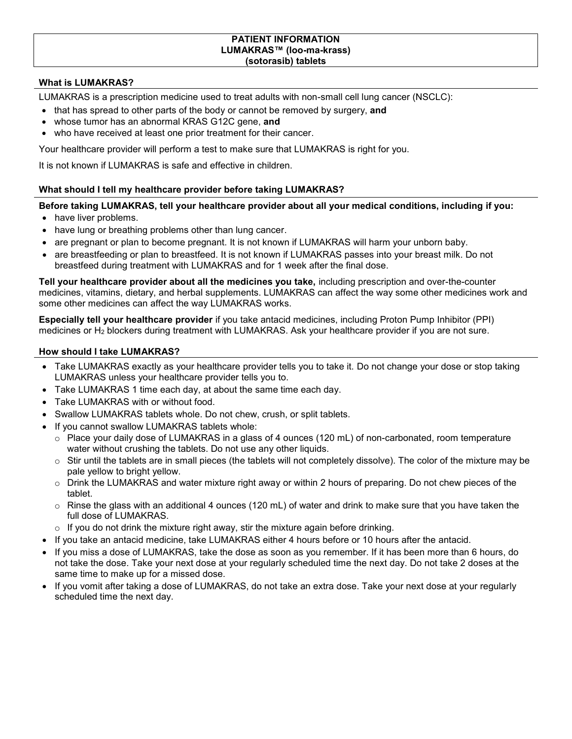#### **PATIENT INFORMATION LUMAKRAS™ (loo-ma-krass) (sotorasib) tablets**

### **What is LUMAKRAS?**

LUMAKRAS is a prescription medicine used to treat adults with non-small cell lung cancer (NSCLC):

- that has spread to other parts of the body or cannot be removed by surgery, and
- whose tumor has an abnormal KRAS G12C gene, **and**
- who have received at least one prior treatment for their cancer.

Your healthcare provider will perform a test to make sure that LUMAKRAS is right for you.

It is not known if LUMAKRAS is safe and effective in children.

### **What should I tell my healthcare provider before taking LUMAKRAS?**

### **Before taking LUMAKRAS, tell your healthcare provider about all your medical conditions, including if you:**

- have liver problems.
- have lung or breathing problems other than lung cancer.
- are pregnant or plan to become pregnant. It is not known if LUMAKRAS will harm your unborn baby.
- are breastfeeding or plan to breastfeed. It is not known if LUMAKRAS passes into your breast milk. Do not breastfeed during treatment with LUMAKRAS and for 1 week after the final dose.

**Tell your healthcare provider about all the medicines you take,** including prescription and over-the-counter medicines, vitamins, dietary, and herbal supplements. LUMAKRAS can affect the way some other medicines work and some other medicines can affect the way LUMAKRAS works.

**Especially tell your healthcare provider** if you take antacid medicines, including Proton Pump Inhibitor (PPI) medicines or H<sub>2</sub> blockers during treatment with LUMAKRAS. Ask your healthcare provider if you are not sure.

#### **How should I take LUMAKRAS?**

- Take LUMAKRAS exactly as your healthcare provider tells you to take it. Do not change your dose or stop taking LUMAKRAS unless your healthcare provider tells you to.
- Take LUMAKRAS 1 time each day, at about the same time each day.
- Take LUMAKRAS with or without food.
- Swallow LUMAKRAS tablets whole. Do not chew, crush, or split tablets.
- If you cannot swallow LUMAKRAS tablets whole:
	- $\circ$  Place your daily dose of LUMAKRAS in a glass of 4 ounces (120 mL) of non-carbonated, room temperature water without crushing the tablets. Do not use any other liquids.
	- $\circ$  Stir until the tablets are in small pieces (the tablets will not completely dissolve). The color of the mixture may be pale yellow to bright yellow.
	- o Drink the LUMAKRAS and water mixture right away or within 2 hours of preparing. Do not chew pieces of the tablet.
	- $\circ$  Rinse the glass with an additional 4 ounces (120 mL) of water and drink to make sure that you have taken the full dose of LUMAKRAS.
	- $\circ$  If you do not drink the mixture right away, stir the mixture again before drinking.
- If you take an antacid medicine, take LUMAKRAS either 4 hours before or 10 hours after the antacid.
- If you miss a dose of LUMAKRAS, take the dose as soon as you remember. If it has been more than 6 hours, do not take the dose. Take your next dose at your regularly scheduled time the next day. Do not take 2 doses at the same time to make up for a missed dose.
- If you vomit after taking a dose of LUMAKRAS, do not take an extra dose. Take your next dose at your regularly scheduled time the next day.